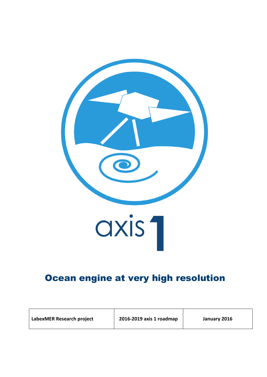

# Ocean engine at very high resolution

| 2016-2019 axis 1 roadmap<br>LabexMER Research project<br>January 2016 |  |
|-----------------------------------------------------------------------|--|
|-----------------------------------------------------------------------|--|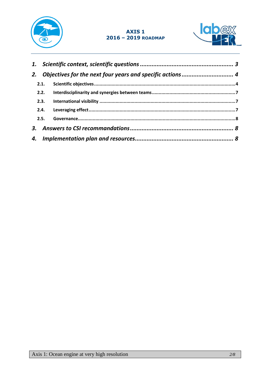

### **AXIS 1 2016 – 2019 ROADMAP**



| 2. |      |  |
|----|------|--|
|    | 2.1. |  |
|    |      |  |
|    | 2.3. |  |
|    |      |  |
|    | 2.5. |  |
|    |      |  |
|    |      |  |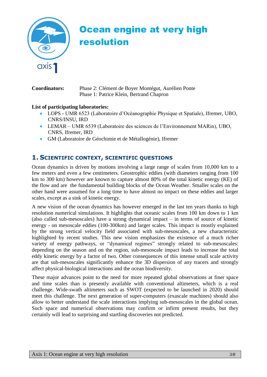

# Ocean engine at very high resolution

**Coordinators:** Phase 2: Clément de Boyer Montégut, Aurélien Ponte Phase 1: Patrice Klein, Bertrand Chapron

#### **List of participating laboratories:**

- LOPS UMR 6523 (Laboratoire d'Océanographie Physique et Spatiale), Ifremer, UBO, CNRS/INSU, IRD
- LEMAR UMR 6539 (Laboratoire des sciences de l'Environnement MARin), UBO, CNRS, Ifremer, IRD
- GM (Laboratoire de Géochimie et de Métallogénie), Ifremer

# <span id="page-2-0"></span>**1. SCIENTIFIC CONTEXT, SCIENTIFIC QUESTIONS**

Ocean dynamics is driven by motions involving a large range of scales from 10,000 km to a few meters and even a few centimeters. Geostrophic eddies (with diameters ranging from 100 km to 300 km) however are known to capture almost 80% of the total kinetic energy (KE) of the flow and are the fundamental building blocks of the Ocean Weather. Smaller scales on the other hand were assumed for a long time to have almost no impact on these eddies and larger scales, except as a sink of kinetic energy.

A new vision of the ocean dynamics has however emerged in the last ten years thanks to high resolution numerical simulations. It highlights that oceanic scales from 100 km down to 1 km (also called sub-mesoscales) have a strong dynamical impact – in terms of source of kinetic energy - on mesoscale eddies (100-300km) and larger scales. This impact is mostly explained by the strong vertical velocity field associated with sub-mesoscales, a new characteristic highlighted by recent studies. This new vision emphasizes the existence of a much richer variety of energy pathways, or "dynamical regimes" strongly related to sub-mesoscales: depending on the season and on the region, sub-mesoscale impact leads to increase the total eddy kinetic energy by a factor of two. Other consequences of this intense small scale activity are that sub-mesoscales significantly enhance the 3D dispersion of any tracers and strongly affect physical-biological interactions and the ocean biodiversity.

These major advances point to the need for more repeated global observations at finer space and time scales than is presently available with conventional altimeters, which is a real challenge. Wide-swath altimeters such as SWOT (expected to be launched in 2020) should meet this challenge. The next generation of super-computers (exascale machines) should also allow to better understand the scale interactions implying sub-mesoscales in the global ocean. Such space and numerical observations may confirm or infirm present results, but they certainly will lead to surprising and startling discoveries not predicted.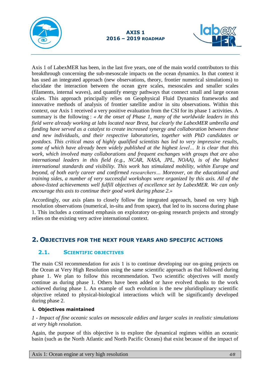



Axis 1 of LabexMER has been, in the last five years, one of the main world contributors to this breakthrough concerning the sub-mesoscale impacts on the ocean dynamics. In that context it has used an integrated approach (new observations, theory, frontier numerical simulations) to elucidate the interaction between the ocean gyre scales, mesoscales and smaller scales (filaments, internal waves), and quantify energy pathways that connect small and large ocean scales. This approach principally relies on Geophysical Fluid Dynamics frameworks and innovative methods of analysis of frontier satellite and/or in situ observations. Within this context, our Axis 1 received a very positive evaluation from the CSI for its phase 1 activities. A summary is the following : *« At the onset of Phase 1, many of the worldwide leaders in this field were already working at labs located near Brest, but clearly the LabexMER umbrella and funding have served as a catalyst to create increased synergy and collaboration between these and new individuals, and their respective laboratories, together with PhD candidates or postdocs. This critical mass of highly qualified scientists has led to very impressive results, some of which have already been widely published at the highest level… It is clear that this work, which involved many collaborations and frequent exchanges with groups that are also international leaders in this field (e.g., NCAR, NASA, JPL, NOAA), is of the highest international standards and visibility. This work has stimulated mobility, within Europe and beyond, of both early career and confirmed researchers… Moreover, on the educational and training sides, a number of very successful workshops were organized by this axis. All of the above-listed achievements well fulfill objectives of excellence set by LabexMER. We can only encourage this axis to continue their good work during phase 2.»*

Accordingly, our axis plans to closely follow the integrated approach, based on very high resolution observations (numerical, in-situ and from space), that led to its success during phase 1. This includes a continued emphasis on exploratory on-going research projects and strongly relies on the existing very active international context.

# <span id="page-3-0"></span>**2. OBJECTIVES FOR THE NEXT FOUR YEARS AND SPECIFIC ACTIONS**

# <span id="page-3-1"></span>**2.1. SCIENTIFIC OBJECTIVES**

The main CSI recommendation for axis 1 is to continue developing our on-going projects on the Ocean at Very High Resolution using the same scientific approach as that followed during phase 1. We plan to follow this recommendation. Two scientific objectives will mostly continue as during phase 1. Others have been added or have evolved thanks to the work achieved during phase 1. An example of such evolution is the new pluridisplinary scientific objective related to physical-biological interactions which will be significantly developed during phase 2.

#### **i. Objectives maintained**

*1 - Impact of fine oceanic scales on mesoscale eddies and larger scales in realistic simulations at very high resolution.* 

Again, the purpose of this objective is to explore the dynamical regimes within an oceanic basin (such as the North Atlantic and North Pacific Oceans) that exist because of the impact of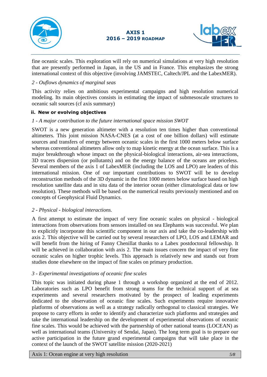



fine oceanic scales. This exploration will rely on numerical simulations at very high resolution that are presently performed in Japan, in the US and in France. This emphasizes the strong international context of this objective (involving JAMSTEC, Caltech/JPL and the LabexMER).

#### *2 - Ouflows dynamics of marginal seas*

This activity relies on ambitious experimental campaigns and high resolution numerical modeling. Its main objectives consists in estimating the impact of submesoscale structures to oceanic salt sources (cf axis summary)

#### **ii. New or evolving objectives**

#### *1 - A major contribution to the future international space mission SWOT*

SWOT is a new generation altimeter with a resolution ten times higher than conventional altimeters. This joint mission NASA-CNES (at a cost of one billion dollars) will estimate sources and transfers of energy between oceanic scales in the first 1000 meters below surface whereas conventional altimeters allow only to map kinetic energy at the ocean surface. This is a major breakthrough whose impact on the physical-biological interactions, air-sea interactions, 3D tracers dispersion (or pollutants) and on the energy balance of the oceans are priceless. Several members of the axis 1 of LabexMER (including the LOS and LPO) are leaders of this international mission. One of our important contributions to SWOT will be to develop reconstruction methods of the 3D dynamic in the first 1000 meters below surface based on high resolution satellite data and in situ data of the interior ocean (either climatological data or low resolution). These methods will be based on the numerical results previously mentioned and on concepts of Geophysical Fluid Dynamics.

#### *2 - Physical - biological interactions.*

A first attempt to estimate the impact of very fine oceanic scales on physical - biological interactions from observations from sensors installed on sea Elephants was successful. We plan to explicitly incorporate this scientific component in our axis and take the co-leadership with axis 2. This objective will be carried out by several researchers of LPO, LOS and LEMAR and will benefit from the hiring of Fanny Chenillat thanks to a Labex postdoctoral fellowship. It will be achieved in collaboration with axis 2. The main issues concern the impact of very fine oceanic scales on higher trophic levels. This approach is relatively new and stands out from studies done elsewhere on the impact of fine scales on primary production.

#### *3 - Experimental investigations of oceanic fine scales*

This topic was initiated during phase 1 through a workshop organized at the end of 2012. Laboratories such as LPO benefit from strong teams for the technical support of at sea experiments and several researchers motivated by the prospect of leading experiments dedicated to the observation of oceanic fine scales. Such experiments require innovative platforms of observations as well as a strategy radically orthogonal to classical strategies. We propose to carry efforts in order to identify and characterize such platforms and strategies and take the international leadership on the development of experimental observations of oceanic fine scales. This would be achieved with the partnership of other national teams (LOCEAN) as well as international teams (University of Sendai, Japan). The long term goal is to prepare our active participation in the future grand experimental campaigns that will take place in the context of the launch of the SWOT satellite mission (2020-2021)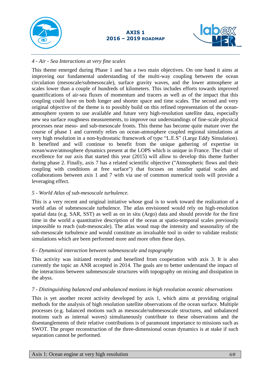



#### *4 - Air - Sea Interactions at very fine scales*

This theme emerged during Phase 1 and has a two main objectives. On one hand it aims at improving our fundamental understanding of the multi-way coupling between the ocean circulation (mesoscale/submesoscale), surface gravity waves, and the lower atmosphere at scales lower than a couple of hundreds of kilometers. This includes efforts towards improved quantifications of air-sea fluxes of momentum and tracers as well as of the impact that this coupling could have on both longer and shorter space and time scales. The second and very original objective of the theme is to possibly build on this refined representation of the oceanatmosphere system to use available and future very high-resolution satellite data, especially new sea surface roughness measurements, to improve our understandings of fine-scale physical processes near meso- and sub-mesoscale fronts. This theme has become quite mature over the course of phase 1 and currently relies on ocean-atmosphere coupled regional simulations at very high resolution in a non-hydrostatic framework of type "L.E.S" (Large Eddy Simulation). It benefited and will continue to benefit from the unique gathering of expertise in ocean/wave/atmosphere dynamics present at the LOPS which is unique in France. The chair of excellence for our axis that started this year (2015) will allow to develop this theme further during phase 2. Finally, axis 7 has a related scientific objective ("Atmospheric flows and their coupling with conditions at free surface") that focuses on smaller spatial scales and collaborations between axis 1 and 7 with via use of common numerical tools will provide a leveraging effect.

#### *5 - World Atlas of sub-mesoscale turbulence.*

This is a very recent and original initiative whose goal is to work toward the realization of a world atlas of submesoscale turbulence. The atlas envisioned would rely on high-resolution spatial data (e.g. SAR, SST) as well as on in situ (Argo) data and should provide for the first time in the world a quantitative description of the ocean at spatio-temporal scales previously impossible to reach (sub-mesoscale). The atlas woud map the intensity and seasonality of the sub-mesoscale turbulence and would constitute an invaluable tool in order to validate realistic simulations which are been performed more and more often these days.

### *6 - Dynamical interaction between submesoscale and topography*

This activity was initiated recently and benefited from cooperation with axis 3. It is also currently the topic an ANR accepted in 2014. The goals are to better understand the impact of the interactions between submesoscale structures with topography on mixing and dissipation in the abyss.

#### *7 - Distinguishing balanced and unbalanced motions in high resolution oceanic observations*

This is yet another recent activity developed by axis 1, which aims at providing original methods for the analysis of high resolution satellite observations of the ocean surface. Multiple processes (e.g. balanced motions such as mesoscale/submesoscale structures, and unbalanced motions such as internal waves) simultaneously contribute to these observations and the disentanglements of their relative contributions is of paramount importance to missions such as SWOT. The proper reconstruction of the three-dimensional ocean dynamics is at stake if such separation cannot be performed.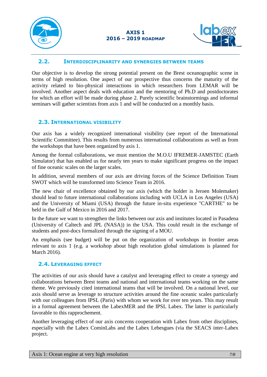



#### <span id="page-6-0"></span>**2.2. INTERDISCIPLINARITY AND SYNERGIES BETWEEN TEAMS**

Our objective is to develop the strong potential present on the Brest oceanographic scene in terms of high resolution. One aspect of our prospective thus concerns the maturity of the activity related to bio-physical interactions in which researchers from LEMAR will be involved. Another aspect deals with education and the mentoring of Ph.D and postdoctorates for which an effort will be made during phase 2. Purely scientific brainstormings and informal seminars will gather scientists from axis 1 and will be conducted on a monthly basis.

### <span id="page-6-1"></span>**2.3. INTERNATIONAL VISIBILITY**

Our axis has a widely recognized international visibility (see report of the International Scientific Committee). This results from numerous international collaborations as well as from the workshops that have been organized by axis 1.

Among the formal collaborations, we must mention the M.O.U IFREMER-JAMSTEC (Earth Simulator) that has enabled us for nearly ten years to make significant progress on the impact of fine oceanic scales on the larger scales.

In addition, several members of our axis are driving forces of the Science Definition Team SWOT which will be transformed into Science Team in 2016.

The new chair of excellence obtained by our axis (which the holder is Jeroen Molemaker) should lead to future international collaborations including with UCLA in Los Angeles (USA) and the University of Miami (USA) through the future in-situ experience "CARTHE" to be held in the Gulf of Mexico in 2016 and 2017.

In the future we want to strengthen the links between our axis and institutes located in Pasadena (University of Caltech and JPL (NASA)) in the USA. This could result in the exchange of students and post-docs formalized through the signing of a MOU.

An emphasis (see budget) will be put on the organization of workshops in frontier areas relevant to axis 1 (e.g. a workshop about high resolution global simulations is planned for March 2016).

### <span id="page-6-2"></span>**2.4. LEVERAGING EFFECT**

The activities of our axis should have a catalyst and leveraging effect to create a synergy and collaborations between Brest teams and national and international teams working on the same theme. We previously cited international teams that will be involved. On a national level, our axis should serve as leverage to structure activities around the fine oceanic scales particularly with our colleagues from IPSL (Paris) with whom we work for over ten years. This may result in a formal agreement between the LabexMER and the IPSL Labex. The latter is particularly favorable to this rapprochement.

Another leveraging effect of our axis concerns cooperation with Labex from other disciplines, especially with the Labex CominLabs and the Labex Lebesgues (via the SEACS inter-Labex project.